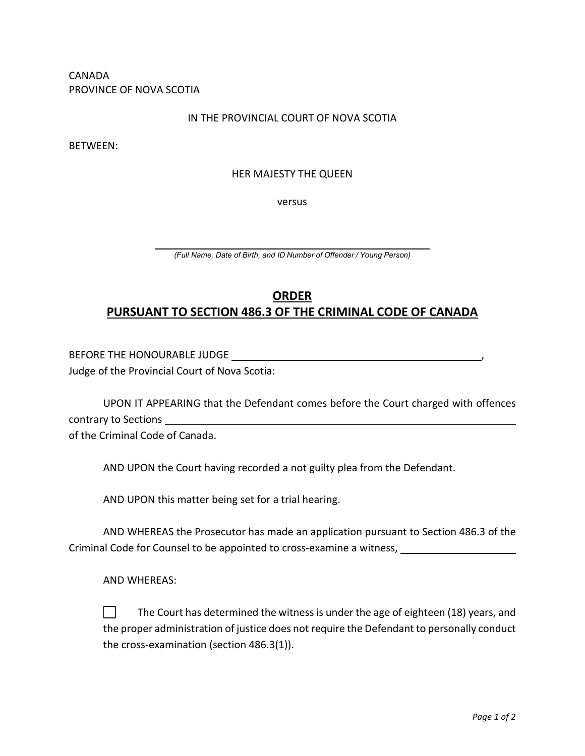CANADA PROVINCE OF NOVA SCOTIA

## IN THE PROVINCIAL COURT OF NOVA SCOTIA

BETWEEN:

## HER MAJESTY THE QUEEN

versus

*(Full Name, Date of Birth, and ID Number of Offender / Young Person)*

## **ORDER PURSUANT TO SECTION 486.3 OF THE CRIMINAL CODE OF CANADA**

BEFORE THE HONOURABLE JUDGE , Judge of the Provincial Court of Nova Scotia:

UPON IT APPEARING that the Defendant comes before the Court charged with offences contrary to Sections

of the Criminal Code of Canada.

AND UPON the Court having recorded a not guilty plea from the Defendant.

AND UPON this matter being set for a trial hearing.

AND WHEREAS the Prosecutor has made an application pursuant to Section 486.3 of the Criminal Code for Counsel to be appointed to cross-examine a witness,

AND WHEREAS:

 $\perp$ The Court has determined the witness is under the age of eighteen (18) years, and the proper administration of justice does not require the Defendant to personally conduct the cross-examination (section 486.3(1)).